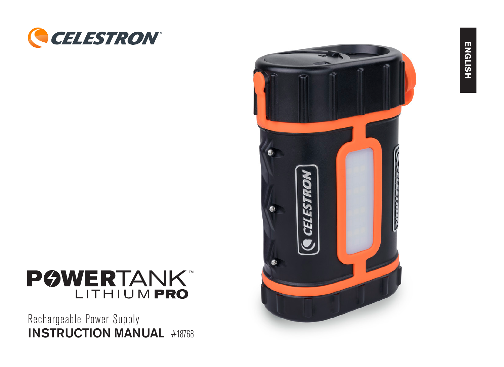



Rechargeable Power Supply INSTRUCTION MANUAL #18768

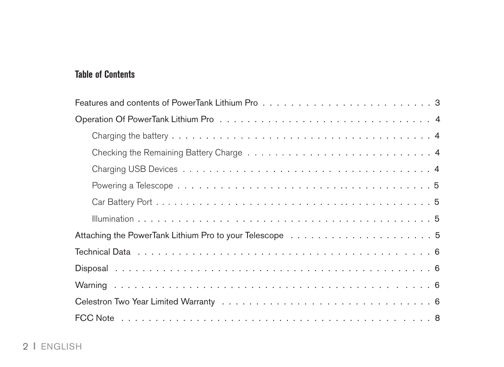# **Table of Contents**

| Features and contents of PowerTank Lithium Proventium of the content of the content of 3 |
|------------------------------------------------------------------------------------------|
|                                                                                          |
|                                                                                          |
|                                                                                          |
|                                                                                          |
|                                                                                          |
|                                                                                          |
|                                                                                          |
|                                                                                          |
|                                                                                          |
|                                                                                          |
|                                                                                          |
|                                                                                          |
|                                                                                          |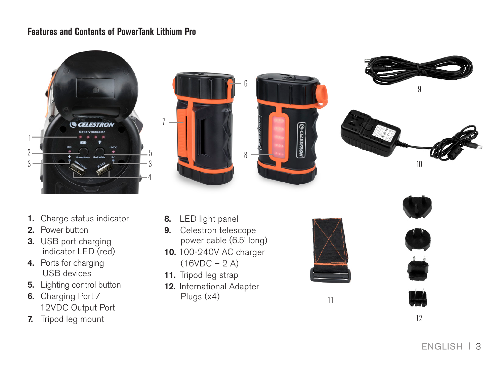#### **Features and Contents of PowerTank Lithium Pro**









- 1. Charge status indicator
- 2. Power button
- 3. USB port charging indicator LED (red)
- 4. Ports for charging USB devices
- 5. Lighting control button
- 6. Charging Port / 12VDC Output Port
- 7. Tripod leg mount
- 8. LED light panel
- 9. Celestron telescope power cable (6.5' long)
- 10. 100-240V AC charger  $(16VDC - 2 A)$
- 11. Tripod leg strap
- 12. International Adapter Plugs (x4)



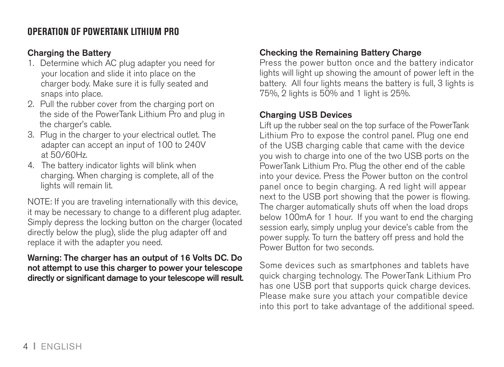# **OPERATION OF POWERTANK LITHIUM PRO**

#### Charging the Battery

- 1. Determine which AC plug adapter you need for your location and slide it into place on the charger body. Make sure it is fully seated and snaps into place.
- 2. Pull the rubber cover from the charging port on the side of the PowerTank Lithium Pro and plug in the charger's cable.
- 3. Plug in the charger to your electrical outlet. The adapter can accept an input of 100 to 240V at 50/60Hz.
- 4. The battery indicator lights will blink when charging. When charging is complete, all of the lights will remain lit.

NOTE: If you are traveling internationally with this device, it may be necessary to change to a different plug adapter. Simply depress the locking button on the charger (located directly below the plug), slide the plug adapter off and replace it with the adapter you need.

#### Warning: The charger has an output of 16 Volts DC. Do not attempt to use this charger to power your telescope directly or significant damage to your telescope will result.

## Checking the Remaining Battery Charge

Press the power button once and the battery indicator lights will light up showing the amount of power left in the battery. All four lights means the battery is full, 3 lights is 75%, 2 lights is 50% and 1 light is 25%.

#### Charging USB Devices

Lift up the rubber seal on the top surface of the PowerTank Lithium Pro to expose the control panel. Plug one end of the USB charging cable that came with the device you wish to charge into one of the two USB ports on the PowerTank Lithium Pro. Plug the other end of the cable into your device. Press the Power button on the control panel once to begin charging. A red light will appear next to the USB port showing that the power is flowing. The charger automatically shuts off when the load drops below 100mA for 1 hour. If you want to end the charging session early, simply unplug your device's cable from the power supply. To turn the battery off press and hold the Power Button for two seconds.

Some devices such as smartphones and tablets have quick charging technology. The PowerTank Lithium Pro has one USB port that supports quick charge devices. Please make sure you attach your compatible device into this port to take advantage of the additional speed.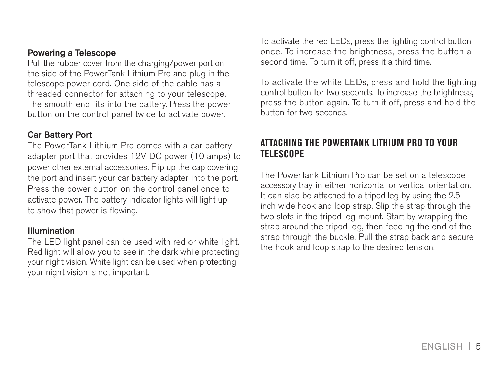#### Powering a Telescope

Pull the rubber cover from the charging/power port on the side of the PowerTank Lithium Pro and plug in the telescope power cord. One side of the cable has a threaded connector for attaching to your telescope. The smooth end fits into the battery. Press the power button on the control panel twice to activate power.

#### Car Battery Port

The PowerTank Lithium Pro comes with a car battery adapter port that provides 12V DC power (10 amps) to power other external accessories. Flip up the cap covering the port and insert your car battery adapter into the port. Press the power button on the control panel once to activate power. The battery indicator lights will light up to show that power is flowing.

#### Illumination

The LED light panel can be used with red or white light. Red light will allow you to see in the dark while protecting your night vision. White light can be used when protecting your night vision is not important.

To activate the red LEDs, press the lighting control button once. To increase the brightness, press the button a second time. To turn it off, press it a third time.

To activate the white LEDs, press and hold the lighting control button for two seconds. To increase the brightness, press the button again. To turn it off, press and hold the button for two seconds.

#### **ATTACHING THE POWERTANK LITHIUM PRO TO YOUR TELESCOPE**

The PowerTank Lithium Pro can be set on a telescope accessory tray in either horizontal or vertical orientation. It can also be attached to a tripod leg by using the 2.5 inch wide hook and loop strap. Slip the strap through the two slots in the tripod leg mount. Start by wrapping the strap around the tripod leg, then feeding the end of the strap through the buckle. Pull the strap back and secure the hook and loop strap to the desired tension.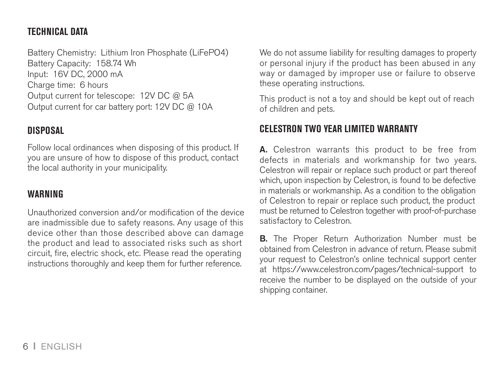## **TECHNICAL DATA**

Battery Chemistry: Lithium Iron Phosphate (LiFePO4) Battery Capacity: 158.74 Wh Input: 16V DC, 2000 mA Charge time: 6 hours Output current for telescope: 12V DC @ 5A Output current for car battery port: 12V DC @ 10A

#### **DISPOSAL**

Follow local ordinances when disposing of this product. If you are unsure of how to dispose of this product, contact the local authority in your municipality.

## **WARNING**

Unauthorized conversion and/or modification of the device are inadmissible due to safety reasons. Any usage of this device other than those described above can damage the product and lead to associated risks such as short circuit, fire, electric shock, etc. Please read the operating instructions thoroughly and keep them for further reference.

We do not assume liability for resulting damages to property or personal injury if the product has been abused in any way or damaged by improper use or failure to observe these operating instructions.

This product is not a toy and should be kept out of reach of children and pets.

# **CELESTRON TWO YEAR LIMITED WARRANTY**

A. Celestron warrants this product to be free from defects in materials and workmanship for two years. Celestron will repair or replace such product or part thereof which, upon inspection by Celestron, is found to be defective in materials or workmanship. As a condition to the obligation of Celestron to repair or replace such product, the product must be returned to Celestron together with proof-of-purchase satisfactory to Celestron.

**B.** The Proper Return Authorization Number must be obtained from Celestron in advance of return. Please submit your request to Celestron's online technical support center at https://www.celestron.com/pages/technical-support to receive the number to be displayed on the outside of your shipping container.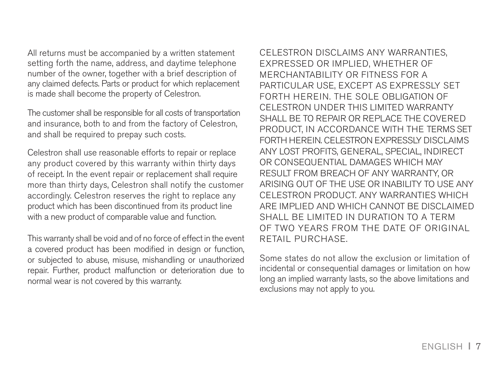All returns must be accompanied by a written statement setting forth the name, address, and daytime telephone number of the owner, together with a brief description of any claimed defects. Parts or product for which replacement is made shall become the property of Celestron.

The customer shall be responsible for all costs of transportation and insurance, both to and from the factory of Celestron, and shall be required to prepay such costs.

Celestron shall use reasonable efforts to repair or replace any product covered by this warranty within thirty days of receipt. In the event repair or replacement shall require more than thirty days, Celestron shall notify the customer accordingly. Celestron reserves the right to replace any product which has been discontinued from its product line with a new product of comparable value and function.

This warranty shall be void and of no force of effect in the event a covered product has been modified in design or function, or subjected to abuse, misuse, mishandling or unauthorized repair. Further, product malfunction or deterioration due to normal wear is not covered by this warranty.

CELESTRON DISCLAIMS ANY WARRANTIES, EXPRESSED OR IMPLIED, WHETHER OF MERCHANTABILITY OR FITNESS FOR A PARTICULAR USE, EXCEPT AS EXPRESSLY SET FORTH HEREIN. THE SOLE OBLIGATION OF CELESTRON UNDER THIS LIMITED WARRANTY SHALL BE TO REPAIR OR REPLACE THE COVERED. PRODUCT, IN ACCORDANCE WITH THE TERMS SET FORTH HEREIN, CELESTRON EXPRESSLY DISCLAIMS ANY LOST PROFITS, GENERAL, SPECIAL, INDIRECT OR CONSEQUENTIAL DAMAGES WHICH MAY RESULT FROM BREACH OF ANY WARRANTY, OR ARISING OUT OF THE USE OR INABILITY TO USE ANY CELESTRON PRODUCT. ANY WARRANTIES WHICH ARE IMPLIED AND WHICH CANNOT BE DISCLAIMED SHALL BE LIMITED IN DURATION TO A TERM OF TWO YEARS FROM THE DATE OF ORIGINAL RETAIL PURCHASE.

Some states do not allow the exclusion or limitation of incidental or consequential damages or limitation on how long an implied warranty lasts, so the above limitations and exclusions may not apply to you.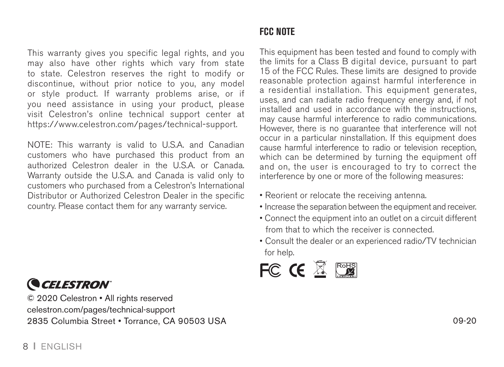#### This warranty gives you specific legal rights, and you may also have other rights which vary from state to state. Celestron reserves the right to modify or discontinue, without prior notice to you, any model or style product. If warranty problems arise, or if you need assistance in using your product, please visit Celestron's online technical support center at https://www.celestron.com/pages/technical-support.

NOTE: This warranty is valid to U.S.A. and Canadian customers who have purchased this product from an authorized Celestron dealer in the U.S.A. or Canada. Warranty outside the U.S.A. and Canada is valid only to customers who purchased from a Celestron's International Distributor or Authorized Celestron Dealer in the specific country. Please contact them for any warranty service.

# **CELESTRON**

© 2020 Celestron • All rights reserved celestron.com/pages/technical-support 2835 Columbia Street • Torrance, CA 90503 USA 09-20

# **FCC NOTE**

This equipment has been tested and found to comply with the limits for a Class B digital device, pursuant to part 15 of the FCC Rules. These limits are designed to provide reasonable protection against harmful interference in a residential installation. This equipment generates, uses, and can radiate radio frequency energy and, if not installed and used in accordance with the instructions, may cause harmful interference to radio communications. However, there is no guarantee that interference will not occur in a particular ninstallation. If this equipment does cause harmful interference to radio or television reception, which can be determined by turning the equipment off and on, the user is encouraged to try to correct the interference by one or more of the following measures:

- Reorient or relocate the receiving antenna.
- Increase the separation between the equipment and receiver.
- Connect the equipment into an outlet on a circuit different from that to which the receiver is connected.
- Consult the dealer or an experienced radio/TV technician for help.

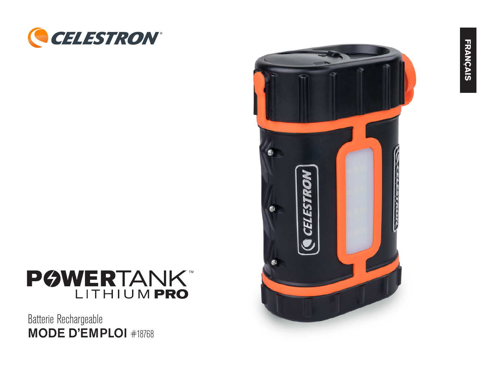



# POWERTANK

Batterie Rechargeable MODE D'EMPLOI #18768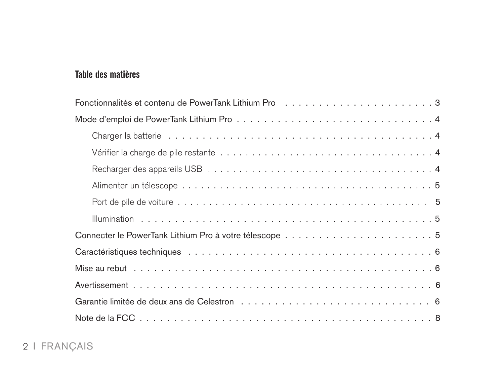# **Table des matières**

| Fonctionnalités et contenu de PowerTank Lithium Proventium (1, 1, 1, 1, 1, 1, 1, 1, 1, 1, 1, 1, 1, 3 |
|------------------------------------------------------------------------------------------------------|
|                                                                                                      |
|                                                                                                      |
|                                                                                                      |
|                                                                                                      |
|                                                                                                      |
|                                                                                                      |
|                                                                                                      |
|                                                                                                      |
|                                                                                                      |
|                                                                                                      |
|                                                                                                      |
|                                                                                                      |
|                                                                                                      |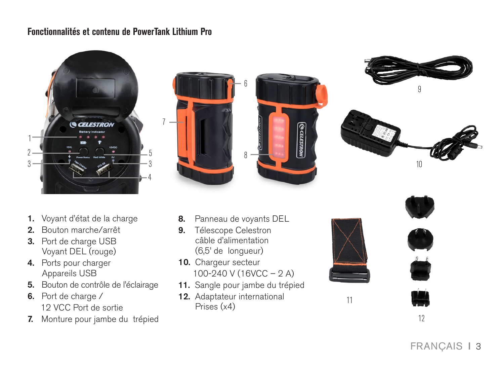#### **Fonctionnalités et contenu de PowerTank Lithium Pro**









- 1. Voyant d'état de la charge
- 2. Bouton marche/arrêt
- 3. Port de charge USB Voyant DEL (rouge)
- 4. Ports pour charger Appareils USB
- 5. Bouton de contrôle de l'éclairage
- 6. Port de charge / 12 VCC Port de sortie
- 7. Monture pour jambe du trépied
- 8. Panneau de voyants DEL
- 9. Télescope Celestron câble d'alimentation (6,5' de longueur)
- 10. Chargeur secteur 100-240 V (16VCC – 2 A)
- 11. Sangle pour jambe du trépied
- 12. Adaptateur international Prises (x4)





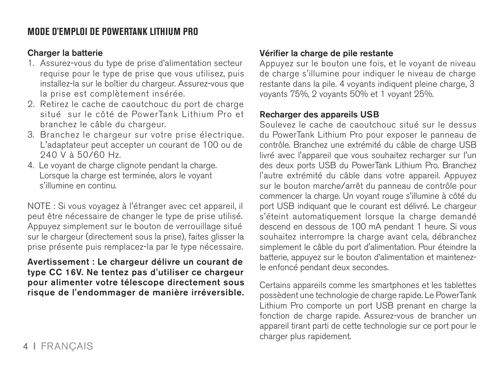# **MODE D'EMPLOI DE POWERTANK LITHIUM PRO**

#### Charger la batterie

- 1. Assurez-vous du type de prise d'alimentation secteur requise pour le type de prise que vous utilisez, puis installez-la sur le boîtier du chargeur. Assurez-vous que la prise est complètement insérée.
- 2. Retirez le cache de caoutchouc du port de charge situé sur le côté de PowerTank Lithium Pro et branchez le câble du chargeur.
- 3. Branchez le chargeur sur votre prise électrique. L'adaptateur peut accepter un courant de 100 ou de 240 V à 50/60 Hz.
- 4. Le voyant de charge clignote pendant la charge. Lorsque la charge est terminée, alors le voyant s'illumine en continu.

NOTE : Si vous voyagez à l'étranger avec cet appareil, il peut être nécessaire de changer le type de prise utilisé. Appuyez simplement sur le bouton de verrouillage situé sur le chargeur (directement sous la prise), faites glisser la prise présente puis remplacez-la par le type nécessaire.

Avertissement : Le chargeur délivre un courant de type CC 16V. Ne tentez pas d'utiliser ce chargeur pour alimenter votre télescope directement sous risque de l'endommager de manière irréversible.

#### Vérifier la charge de pile restante

Appuyez sur le bouton une fois, et le voyant de niveau de charge s'illumine pour indiquer le niveau de charge restante dans la pile. 4 voyants indiquent pleine charge, 3 voyants 75%, 2 voyants 50% et 1 voyant 25%.

#### Recharger des appareils USB

Soulevez le cache de caoutchouc situé sur le dessus du PowerTank Lithium Pro pour exposer le panneau de contrôle. Branchez une extrémité du câble de charge USB livré avec l'appareil que vous souhaitez recharger sur l'un des deux ports USB du PowerTank Lithium Pro. Branchez l'autre extrémité du câble dans votre appareil. Appuyez sur le bouton marche/arrêt du panneau de contrôle pour commencer la charge. Un voyant rouge s'illumine à côté du port USB indiquant que le courant est délivré. Le chargeur s'éteint automatiquement lorsque la charge demandé descend en dessous de 100 mA pendant 1 heure. Si vous souhaitez interrompre la charge avant cela, débranchez simplement le câble du port d'alimentation. Pour éteindre la batterie, appuyez sur le bouton d'alimentation et maintenezle enfoncé pendant deux secondes.

Certains appareils comme les smartphones et les tablettes possèdent une technologie de charge rapide. Le PowerTank Lithium Pro comporte un port USB prenant en charge la fonction de charge rapide. Assurez-vous de brancher un appareil tirant parti de cette technologie sur ce port pour le charger plus rapidement.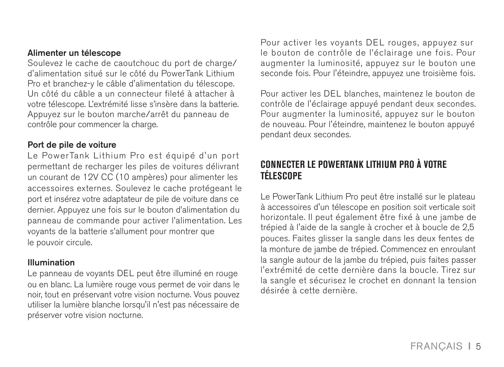#### Alimenter un télescope

Soulevez le cache de caoutchouc du port de charge/ d'alimentation situé sur le côté du PowerTank Lithium Pro et branchez-y le câble d'alimentation du télescope. Un côté du câble a un connecteur fileté à attacher à votre télescope. L'extrémité lisse s'insère dans la batterie. Appuyez sur le bouton marche/arrêt du panneau de contrôle pour commencer la charge.

#### Port de pile de voiture

Le PowerTank Lithium Pro est équipé d'un port permettant de recharger les piles de voitures délivrant un courant de 12V CC (10 ampères) pour alimenter les accessoires externes. Soulevez le cache protégeant le port et insérez votre adaptateur de pile de voiture dans ce dernier. Appuyez une fois sur le bouton d'alimentation du panneau de commande pour activer l'alimentation. Les voyants de la batterie s'allument pour montrer que le pouvoir circule.

#### Illumination

Le panneau de voyants DEL peut être illuminé en rouge ou en blanc. La lumière rouge vous permet de voir dans le noir, tout en préservant votre vision nocturne. Vous pouvez utiliser la lumière blanche lorsqu'il n'est pas nécessaire de préserver votre vision nocturne.

Pour activer les voyants DEL rouges, appuyez sur le bouton de contrôle de l'éclairage une fois. Pour augmenter la luminosité, appuyez sur le bouton une seconde fois. Pour l'éteindre, appuyez une troisième fois.

Pour activer les DEL blanches, maintenez le bouton de contrôle de l'éclairage appuyé pendant deux secondes. Pour augmenter la luminosité, appuyez sur le bouton de nouveau. Pour l'éteindre, maintenez le bouton appuyé pendant deux secondes.

# **CONNECTER LE POWERTANK LITHIUM PRO À VOTRE TÉLESCOPE**

Le PowerTank Lithium Pro peut être installé sur le plateau à accessoires d'un télescope en position soit verticale soit horizontale. Il peut également être fixé à une jambe de trépied à l'aide de la sangle à crocher et à boucle de 2,5 pouces. Faites glisser la sangle dans les deux fentes de la monture de jambe de trépied. Commencez en enroulant la sangle autour de la jambe du trépied, puis faites passer l'extrémité de cette dernière dans la boucle. Tirez sur la sangle et sécurisez le crochet en donnant la tension désirée à cette dernière.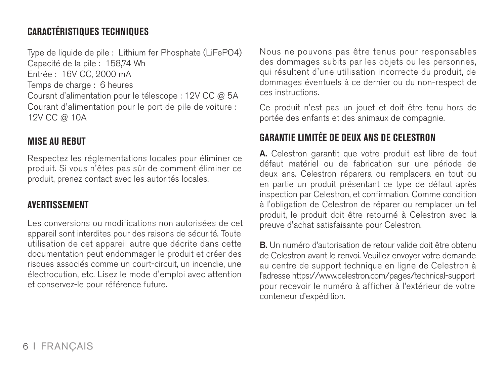# **CARACTÉRISTIQUES TECHNIQUES**

Type de liquide de pile : Lithium fer Phosphate (LiFePO4)

Capacité de la pile : 158,74 Wh

Entrée : 16V CC, 2000 mA

Temps de charge : 6 heures

Courant d'alimentation pour le télescope : 12V CC @ 5A Courant d'alimentation pour le port de pile de voiture : 12V CC @ 10A

## **MISE AU REBUT**

Respectez les réglementations locales pour éliminer ce produit. Si vous n'êtes pas sûr de comment éliminer ce produit, prenez contact avec les autorités locales.

## **AVERTISSEMENT**

Les conversions ou modifications non autorisées de cet appareil sont interdites pour des raisons de sécurité. Toute utilisation de cet appareil autre que décrite dans cette documentation peut endommager le produit et créer des risques associés comme un court-circuit, un incendie, une électrocution, etc. Lisez le mode d'emploi avec attention et conservez-le pour référence future.

Nous ne pouvons pas être tenus pour responsables des dommages subits par les objets ou les personnes, qui résultent d'une utilisation incorrecte du produit, de dommages éventuels à ce dernier ou du non-respect de ces instructions.

Ce produit n'est pas un jouet et doit être tenu hors de portée des enfants et des animaux de compagnie.

# **GARANTIE LIMITÉE DE DEUX ANS DE CELESTRON**

A. Celestron garantit que votre produit est libre de tout défaut matériel ou de fabrication sur une période de deux ans. Celestron réparera ou remplacera en tout ou en partie un produit présentant ce type de défaut après inspection par Celestron, et confirmation. Comme condition à l'obligation de Celestron de réparer ou remplacer un tel produit, le produit doit être retourné à Celestron avec la preuve d'achat satisfaisante pour Celestron.

B. Un numéro d'autorisation de retour valide doit être obtenu de Celestron avant le renvoi. Veuillez envoyer votre demande au centre de support technique en ligne de Celestron à l'adresse https://www.celestron.com/pages/technical-support pour recevoir le numéro à afficher à l'extérieur de votre conteneur d'expédition.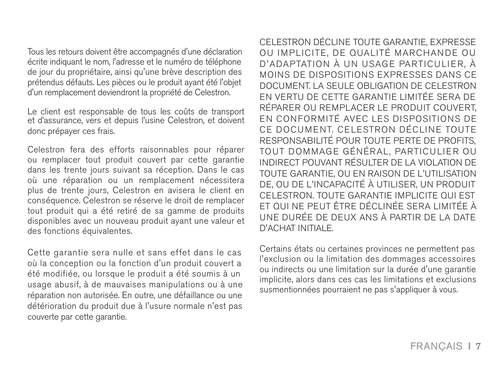Tous les retours doivent être accompagnés d'une déclaration écrite indiquant le nom, l'adresse et le numéro de téléphone de jour du propriétaire, ainsi qu'une brève description des prétendus défauts. Les pièces ou le produit ayant été l'objet d'un remplacement deviendront la propriété de Celestron.

Le client est responsable de tous les coûts de transport et d'assurance, vers et depuis l'usine Celestron, et doivent donc prépayer ces frais.

Celestron fera des efforts raisonnables pour réparer ou remplacer tout produit couvert par cette garantie dans les trente jours suivant sa réception. Dans le cas où une réparation ou un remplacement nécessitera plus de trente jours, Celestron en avisera le client en conséquence. Celestron se réserve le droit de remplacer tout produit qui a été retiré de sa gamme de produits disponibles avec un nouveau produit ayant une valeur et des fonctions équivalentes.

Cette garantie sera nulle et sans effet dans le cas où la conception ou la fonction d'un produit couvert a été modifiée, ou lorsque le produit a été soumis à un usage abusif, à de mauvaises manipulations ou à une réparation non autorisée. En outre, une défaillance ou une détérioration du produit due à l'usure normale n'est pas couverte par cette garantie.

CELESTRON DÉCLINE TOUTE GARANTIE, EXPRESSE OU IMPLICITE, DE QUALITÉ MARCHANDE OU D'ADAPTATION À UN USAGE PARTICULIER. À MOINS DE DISPOSITIONS EXPRESSES DANS CE DOCUMENT. LA SEULE OBLIGATION DE CELESTRON EN VERTU DE CETTE GARANTIE LIMITÉE SERA DE RÉPARER OU REMPLACER LE PRODUIT COUVERT, EN CONFORMITÉ AVEC LES DISPOSITIONS DE CE DOCUMENT, CELESTRON DÉCLINE TOUTE RESPONSABILITÉ POUR TOUTE PERTE DE PROFITS, TOUT DOMMAGE GÉNÉRAL, PARTICULIER OU INDIRECT POUVANT RÉSULTER DE LA VIOLATION DE TOUTE GARANTIE, OU EN RAISON DE L'UTILISATION DE, OU DE L'INCAPACITÉ À UTILISER, UN PRODUIT CELESTRON. TOUTE GARANTIE IMPLICITE QUI EST ET QUI NE PEUT ÊTRE DÉCLINÉE SERA LIMITÉE À UNE DURÉE DE DEUX ANS À PARTIR DE LA DATE D'ACHAT INITIALE.

Certains états ou certaines provinces ne permettent pas l'exclusion ou la limitation des dommages accessoires ou indirects ou une limitation sur la durée d'une garantie implicite, alors dans ces cas les limitations et exclusions susmentionnées pourraient ne pas s'appliquer à vous.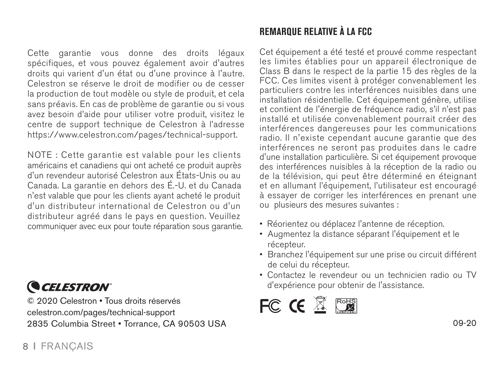Cette garantie vous donne des droits légaux spécifiques, et vous pouvez également avoir d'autres droits qui varient d'un état ou d'une province à l'autre. Celestron se réserve le droit de modifier ou de cesser la production de tout modèle ou style de produit, et cela sans préavis. En cas de problème de garantie ou si vous avez besoin d'aide pour utiliser votre produit, visitez le centre de support technique de Celestron à l'adresse https://www.celestron.com/pages/technical-support.

NOTE : Cette garantie est valable pour les clients américains et canadiens qui ont acheté ce produit auprès d'un revendeur autorisé Celestron aux États-Unis ou au Canada. La garantie en dehors des É.-U. et du Canada n'est valable que pour les clients ayant acheté le produit d'un distributeur international de Celestron ou d'un distributeur agréé dans le pays en question. Veuillez communiquer avec eux pour toute réparation sous garantie.

# **CELESTRON**

© 2020 Celestron • Tous droits réservés celestron.com/pages/technical-support 2835 Columbia Street • Torrance, CA 90503 USA 09-20 09-20 09-20

# **REMARQUE RELATIVE À LA FCC**

Cet équipement a été testé et prouvé comme respectant les limites établies pour un appareil électronique de Class B dans le respect de la partie 15 des règles de la FCC. Ces limites visent à protéger convenablement les particuliers contre les interférences nuisibles dans une installation résidentielle. Cet équipement génère, utilise et contient de l'énergie de fréquence radio, s'il n'est pas installé et utilisée convenablement pourrait créer des interférences dangereuses pour les communications radio. Il n'existe cependant aucune garantie que des interférences ne seront pas produites dans le cadre d'une installation particulière. Si cet équipement provoque des interférences nuisibles à la réception de la radio ou de la télévision, qui peut être déterminé en éteignant et en allumant l'équipement, l'utilisateur est encouragé à essayer de corriger les interférences en prenant une ou plusieurs des mesures suivantes :

- Réorientez ou déplacez l'antenne de réception.
- Augmentez la distance séparant l'équipement et le récepteur.
- Branchez l'équipement sur une prise ou circuit différent de celui du récepteur.
- Contactez le revendeur ou un technicien radio ou TV d'expérience pour obtenir de l'assistance.

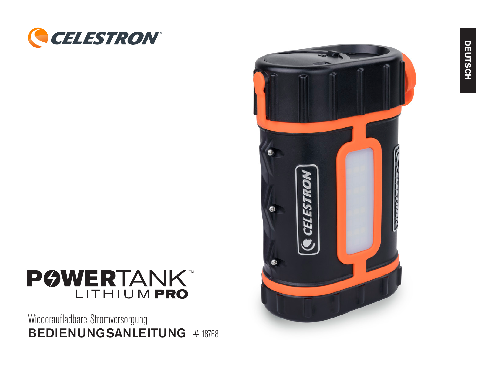



Wiederaufladbare Stromversorgung BEDIENUNGSANLEITUNG # 18768

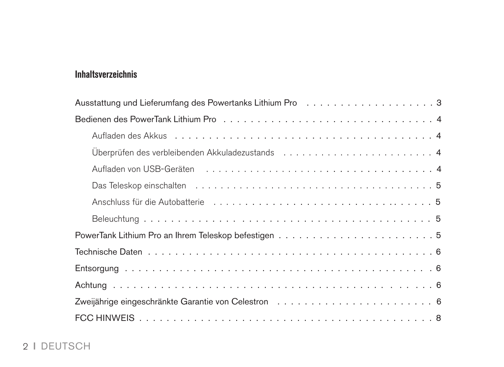# **Inhaltsverzeichnis**

| Aufladen von USB-Geräten einer einer aus einer aller aus einer einer einer aus einer einer aufgebenen zu eine  |
|----------------------------------------------------------------------------------------------------------------|
|                                                                                                                |
| Anschluss für die Autobatterie (Bulgard Langer Langer Langer Langer Langer Langer Langer Langer Julian Strateg |
|                                                                                                                |
|                                                                                                                |
|                                                                                                                |
|                                                                                                                |
|                                                                                                                |
|                                                                                                                |
|                                                                                                                |

# 2 I DEUTSCH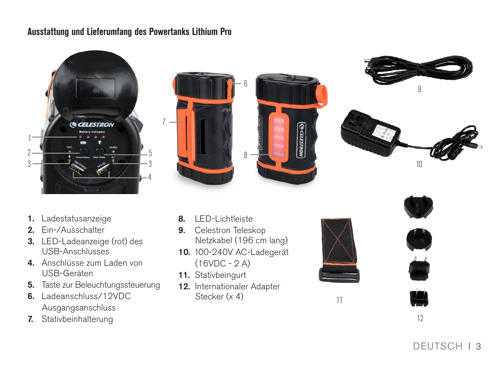## **Ausstattung und Lieferumfang des Powertanks Lithium Pro**

7









- 1. Ladestatusanzeige
- 2. Ein-/Ausschalter
- 3. LED-Ladeanzeige (rot) des USB-Anschlusses
- 4. Anschlüsse zum Laden von USB-Geräten
- 5. Taste zur Beleuchtungssteuerung
- 6. Ladeanschluss/12VDC Ausgangsanschluss
- 7. Stativbeinhalterung
- 8. LED-Lichtleiste
- 9. Celestron Teleskop Netzkabel (196 cm lang)
- 10. 100-240V AC-Ladegerät (16VDC - 2 A)
- 11. Stativbeingurt
- 12. Internationaler Adapter Stecker (x 4)





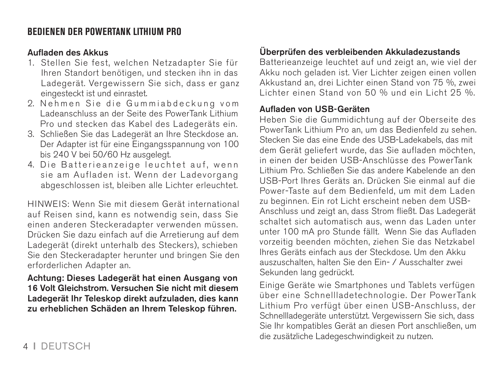# **BEDIENEN DER POWERTANK LITHIUM PRO**

#### Aufladen des Akkus

- 1. Stellen Sie fest, welchen Netzadapter Sie für Ihren Standort benötigen, und stecken ihn in das Ladegerät. Vergewissern Sie sich, dass er ganz eingesteckt ist und einrastet.
- 2. Nehmen Sie die Gummiabdeckung vom Ladeanschluss an der Seite des PowerTank Lithium Pro und stecken das Kabel des Ladegeräts ein.
- 3. Schließen Sie das Ladegerät an Ihre Steckdose an. Der Adapter ist für eine Eingangsspannung von 100 bis 240 V bei 50/60 Hz ausgelegt.
- 4. Die Batterieanzeige leuchtet auf, wenn sie am Aufladen ist. Wenn der Ladevorgang abgeschlossen ist, bleiben alle Lichter erleuchtet.

HINWEIS: Wenn Sie mit diesem Gerät international auf Reisen sind, kann es notwendig sein, dass Sie einen anderen Steckeradapter verwenden müssen. Drücken Sie dazu einfach auf die Arretierung auf dem Ladegerät (direkt unterhalb des Steckers), schieben Sie den Steckeradapter herunter und bringen Sie den erforderlichen Adapter an.

Achtung: Dieses Ladegerät hat einen Ausgang von 16 Volt Gleichstrom. Versuchen Sie nicht mit diesem Ladegerät Ihr Teleskop direkt aufzuladen, dies kann zu erheblichen Schäden an Ihrem Teleskop führen.

# Überprüfen des verbleibenden Akkuladezustands

Batterieanzeige leuchtet auf und zeigt an, wie viel der Akku noch geladen ist. Vier Lichter zeigen einen vollen Akkustand an, drei Lichter einen Stand von 75 %, zwei Lichter einen Stand von 50 % und ein Licht 25 %.

#### Aufladen von USB-Geräten

Heben Sie die Gummidichtung auf der Oberseite des PowerTank Lithium Pro an, um das Bedienfeld zu sehen. Stecken Sie das eine Ende des USB-Ladekabels, das mit dem Gerät geliefert wurde, das Sie aufladen möchten, in einen der beiden USB-Anschlüsse des PowerTank Lithium Pro. Schließen Sie das andere Kabelende an den USB-Port Ihres Geräts an. Drücken Sie einmal auf die Power-Taste auf dem Bedienfeld, um mit dem Laden zu beginnen. Ein rot Licht erscheint neben dem USB-Anschluss und zeigt an, dass Strom fließt. Das Ladegerät schaltet sich automatisch aus, wenn das Laden unter unter 100 mA pro Stunde fällt. Wenn Sie das Aufladen vorzeitig beenden möchten, ziehen Sie das Netzkabel Ihres Geräts einfach aus der Steckdose. Um den Akku auszuschalten, halten Sie den Ein- / Ausschalter zwei Sekunden lang gedrückt.

Einige Geräte wie Smartphones und Tablets verfügen über eine Schnellladetechnologie. Der PowerTank Lithium Pro verfügt über einen USB-Anschluss, der Schnellladegeräte unterstützt. Vergewissern Sie sich, dass Sie Ihr kompatibles Gerät an diesen Port anschließen, um die zusätzliche Ladegeschwindigkeit zu nutzen.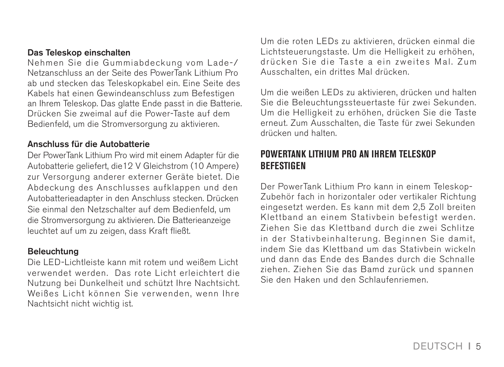#### Das Teleskop einschalten

Nehmen Sie die Gummiabdeckung vom Lade-/ Netzanschluss an der Seite des PowerTank Lithium Pro ab und stecken das Teleskopkabel ein. Eine Seite des Kabels hat einen Gewindeanschluss zum Befestigen an Ihrem Teleskop. Das glatte Ende passt in die Batterie. Drücken Sie zweimal auf die Power-Taste auf dem Bedienfeld, um die Stromversorgung zu aktivieren.

#### Anschluss für die Autobatterie

Der PowerTank Lithium Pro wird mit einem Adapter für die Autobatterie geliefert, die12 V Gleichstrom (10 Ampere) zur Versorgung anderer externer Geräte bietet. Die Abdeckung des Anschlusses aufklappen und den Autobatterieadapter in den Anschluss stecken. Drücken Sie einmal den Netzschalter auf dem Bedienfeld, um die Stromversorgung zu aktivieren. Die Batterieanzeige leuchtet auf um zu zeigen, dass Kraft fließt.

#### Beleuchtung

Die LED-Lichtleiste kann mit rotem und weißem Licht verwendet werden. Das rote Licht erleichtert die Nutzung bei Dunkelheit und schützt Ihre Nachtsicht. Weißes Licht können Sie verwenden, wenn Ihre Nachtsicht nicht wichtig ist.

Um die roten LEDs zu aktivieren, drücken einmal die Lichtsteuerungstaste. Um die Helligkeit zu erhöhen, drücken Sie die Taste a ein zweites Mal. Zum Ausschalten, ein drittes Mal drücken.

Um die weißen LEDs zu aktivieren, drücken und halten Sie die Beleuchtungssteuertaste für zwei Sekunden. Um die Helligkeit zu erhöhen, drücken Sie die Taste erneut. Zum Ausschalten, die Taste für zwei Sekunden drücken und halten.

#### **POWERTANK LITHIUM PRO AN IHREM TELESKOP BEFESTIGEN**

Der PowerTank Lithium Pro kann in einem Teleskop-Zubehör fach in horizontaler oder vertikaler Richtung eingesetzt werden. Es kann mit dem 2,5 Zoll breiten Klettband an einem Stativbein befestigt werden. Ziehen Sie das Klettband durch die zwei Schlitze in der Stativbeinhalterung. Beginnen Sie damit, indem Sie das Klettband um das Stativbein wickeln und dann das Ende des Bandes durch die Schnalle ziehen. Ziehen Sie das Bamd zurück und spannen Sie den Haken und den Schlaufenriemen.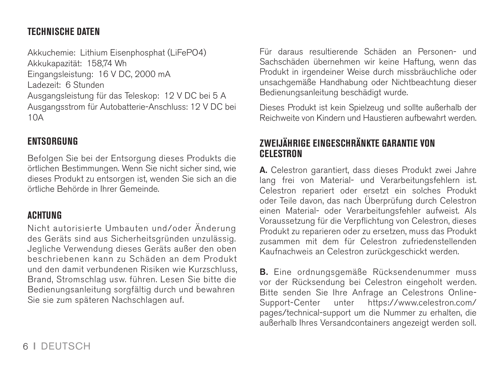# **TECHNISCHE DATEN**

Akkuchemie: Lithium Eisenphosphat (LiFePO4) Akkukapazität: 158,74 Wh Eingangsleistung: 16 V DC, 2000 mA Ladezeit: 6 Stunden Ausgangsleistung für das Teleskop: 12 V DC bei 5 A Ausgangsstrom für Autobatterie-Anschluss: 12 V DC bei  $10A$ 

## **ENTSORGUNG**

Befolgen Sie bei der Entsorgung dieses Produkts die örtlichen Bestimmungen. Wenn Sie nicht sicher sind, wie dieses Produkt zu entsorgen ist, wenden Sie sich an die örtliche Behörde in Ihrer Gemeinde.

## **ACHTUNG**

Nicht autorisierte Umbauten und/oder Änderung des Geräts sind aus Sicherheitsgründen unzulässig. Jegliche Verwendung dieses Geräts außer den oben beschriebenen kann zu Schäden an dem Produkt und den damit verbundenen Risiken wie Kurzschluss, Brand, Stromschlag usw. führen. Lesen Sie bitte die Bedienungsanleitung sorgfältig durch und bewahren Sie sie zum späteren Nachschlagen auf.

Für daraus resultierende Schäden an Personen- und Sachschäden übernehmen wir keine Haftung, wenn das Produkt in irgendeiner Weise durch missbräuchliche oder unsachgemäße Handhabung oder Nichtbeachtung dieser Bedienungsanleitung beschädigt wurde.

Dieses Produkt ist kein Spielzeug und sollte außerhalb der Reichweite von Kindern und Haustieren aufbewahrt werden.

#### **ZWEIJÄHRIGE EINGESCHRÄNKTE GARANTIE VON CELESTRON**

A. Celestron garantiert, dass dieses Produkt zwei Jahre lang frei von Material- und Verarbeitungsfehlern ist. Celestron repariert oder ersetzt ein solches Produkt oder Teile davon, das nach Überprüfung durch Celestron einen Material- oder Verarbeitungsfehler aufweist. Als Voraussetzung für die Verpflichtung von Celestron, dieses Produkt zu reparieren oder zu ersetzen, muss das Produkt zusammen mit dem für Celestron zufriedenstellenden Kaufnachweis an Celestron zurückgeschickt werden.

B. Eine ordnungsgemäße Rücksendenummer muss vor der Rücksendung bei Celestron eingeholt werden. Bitte senden Sie Ihre Anfrage an Celestrons Online-<br>Support-Center unter https://www.celestron.com/ unter https://www.celestron.com/ pages/technical-support um die Nummer zu erhalten, die außerhalb Ihres Versandcontainers angezeigt werden soll.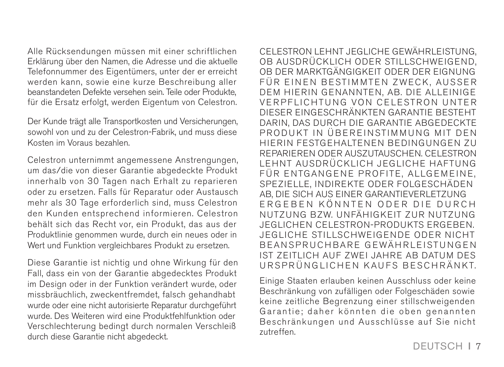Alle Rücksendungen müssen mit einer schriftlichen Erklärung über den Namen, die Adresse und die aktuelle Telefonnummer des Eigentümers, unter der er erreicht werden kann, sowie eine kurze Beschreibung aller beanstandeten Defekte versehen sein. Teile oder Produkte, für die Ersatz erfolgt, werden Eigentum von Celestron.

Der Kunde trägt alle Transportkosten und Versicherungen, sowohl von und zu der Celestron-Fabrik, und muss diese Kosten im Voraus bezahlen.

Celestron unternimmt angemessene Anstrengungen, um das/die von dieser Garantie abgedeckte Produkt innerhalb von 30 Tagen nach Erhalt zu reparieren oder zu ersetzen. Falls für Reparatur oder Austausch mehr als 30 Tage erforderlich sind, muss Celestron den Kunden entsprechend informieren. Celestron behält sich das Recht vor, ein Produkt, das aus der Produktlinie genommen wurde, durch ein neues oder in Wert und Funktion vergleichbares Produkt zu ersetzen.

Diese Garantie ist nichtig und ohne Wirkung für den Fall, dass ein von der Garantie abgedecktes Produkt im Design oder in der Funktion verändert wurde, oder missbräuchlich, zweckentfremdet, falsch gehandhabt wurde oder eine nicht autorisierte Reparatur durchgeführt wurde. Des Weiteren wird eine Produktfehlfunktion oder Verschlechterung bedingt durch normalen Verschleiß durch diese Garantie nicht abgedeckt.

CELESTRON LEHNT JEGLICHE GEWÄHRLEISTUNG, OB AUSDRÜCKLICH ODER STILLSCHWEIGEND, OB DER MARKTGÄNGIGKEIT ODER DER EIGNUNG FÜR EINEN BESTIMMTEN ZWECK, AUSSER DEM HIERIN GENANNTEN, AB. DIE ALLEINIGE VERPFLICHTUNG VON CELESTRON UNTER DIESER EINGESCHRÄNKTEN GARANTIE BESTEHT DARIN, DAS DURCH DIE GARANTIE ABGEDECKTE PRODUKT IN ÜREREINSTIMMUNG MIT DEN HIERIN FESTGEHALTENEN BEDINGUNGEN ZU REPARIEREN ODER AUSZUTAUSCHEN. CELESTRON LEHNT AUSDRÜCKLICH JEGLICHE HAFTUNG FÜR ENTGANGENE PROFITE, ALLGEMEINE, SPEZIELLE, INDIREKTE ODER FOLGESCHÄDEN AB, DIE SICH AUS EINER GARANTIEVERLETZUNG ERGEBEN KÖNNTEN ODER DIE DURCH NUTZUNG BZW. UNFÄHIGKEIT ZUR NUTZUNG JEGLICHEN CELESTRON-PRODUKTS ERGEBEN. JEGLICHE STILLSCHWEIGENDE ODER NICHT BEANSPRUCHBARE GEWÄHRLEISTUNGEN IST ZEITLICH AUF ZWEI JAHRE AB DATUM DES URSPRÜNGLICHEN KAUFS BESCHRÄNKT.

Einige Staaten erlauben keinen Ausschluss oder keine Beschränkung von zufälligen oder Folgeschäden sowie keine zeitliche Begrenzung einer stillschweigenden Garantie; daher könnten die oben genannten Beschränkungen und Ausschlüsse auf Sie nicht zutreffen.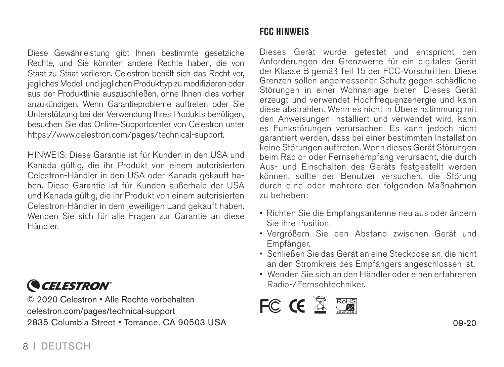Diese Gewährleistung gibt Ihnen bestimmte gesetzliche Rechte, und Sie könnten andere Rechte haben, die von Staat zu Staat variieren. Celestron behält sich das Recht vor, jegliches Modell und jeglichen Produkttyp zu modifizieren oder aus der Produktlinie auszuschließen, ohne Ihnen dies vorher anzukündigen. Wenn Garantieprobleme auftreten oder Sie Unterstützung bei der Verwendung Ihres Produkts benötigen, besuchen Sie das Online-Supportcenter von Celestron unter https://www.celestron.com/pages/technical-support.

HINWEIS: Diese Garantie ist für Kunden in den USA und Kanada gültig, die ihr Produkt von einem autorisierten Celestron-Händler in den USA oder Kanada gekauft haben. Diese Garantie ist für Kunden außerhalb der USA und Kanada gültig, die ihr Produkt von einem autorisierten Celestron-Händler in dem jeweiligen Land gekauft haben. Wenden Sie sich für alle Fragen zur Garantie an diese Händler.

**CELESTRON** 

© 2020 Celestron • Alle Rechte vorbehalten celestron.com/pages/technical-support 2835 Columbia Street • Torrance, CA 90503 USA 09-20

# **FCC HINWEIS**

Dieses Gerät wurde getestet und entspricht den Anforderungen der Grenzwerte für ein digitales Gerät der Klasse B gemäß Teil 15 der FCC-Vorschriften. Diese Grenzen sollen angemessener Schutz gegen schädliche Störungen in einer Wohnanlage bieten. Dieses Gerät erzeugt und verwendet Hochfrequenzenergie und kann diese abstrahlen. Wenn es nicht in Übereinstimmung mit den Anweisungen installiert und verwendet wird, kann es Funkstörungen verursachen. Es kann jedoch nicht garantiert werden, dass bei einer bestimmten Installation keine Störungen auftreten. Wenn dieses Gerät Störungen beim Radio- oder Fernsehempfang verursacht, die durch Aus- und Einschalten des Geräts festgestellt werden können, sollte der Benutzer versuchen, die Störung durch eine oder mehrere der folgenden Maßnahmen zu beheben:

- Richten Sie die Empfangsantenne neu aus oder ändern Sie ihre Position.
- Vergrößern Sie den Abstand zwischen Gerät und Empfänger.
- Schließen Sie das Gerät an eine Steckdose an, die nicht an den Stromkreis des Empfängers angeschlossen ist.
- Wenden Sie sich an den Händler oder einen erfahrenen Radio-/Fernsehtechniker.

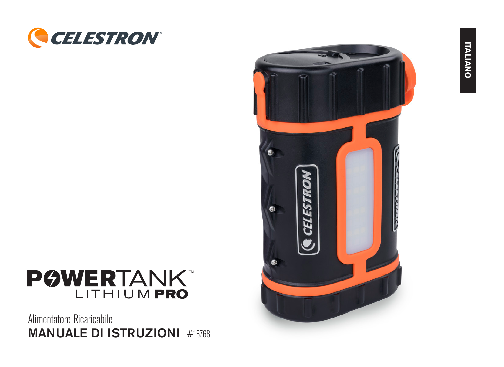



Alimentatore Ricaricabile MANUALE DI ISTRUZIONI #18768

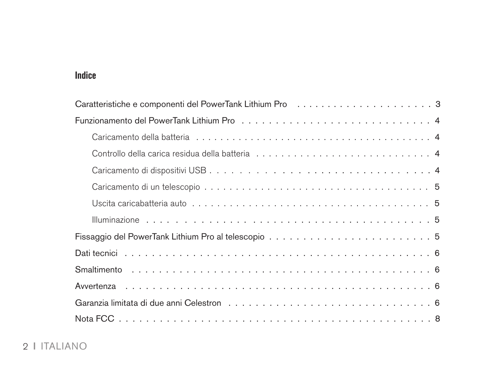# **Indice**

| Uscita caricabatteria auto $\ldots \ldots \ldots \ldots \ldots \ldots \ldots \ldots \ldots \ldots \ldots \ldots$ |
|------------------------------------------------------------------------------------------------------------------|
|                                                                                                                  |
|                                                                                                                  |
|                                                                                                                  |
|                                                                                                                  |
|                                                                                                                  |
| Garanzia limitata di due anni Celestron (etc.) (etc.) (etc.) (etc.) (etc.) (etc.) (etc.) (etc.) (etc.) (etc.)    |
|                                                                                                                  |

# 2 I ITALIANO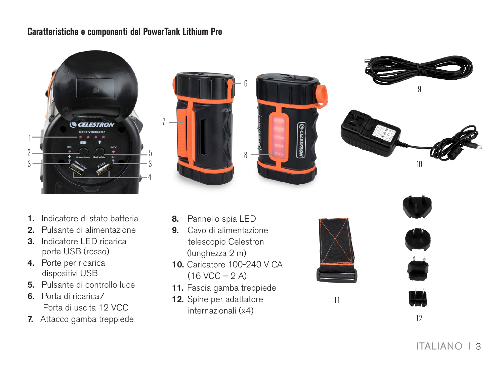#### **Caratteristiche e componenti del PowerTank Lithium Pro**

7









- 1. Indicatore di stato batteria
- 2. Pulsante di alimentazione
- 3. Indicatore LED ricarica porta USB (rosso)
- 4. Porte per ricarica dispositivi USB
- 5. Pulsante di controllo luce
- 6. Porta di ricarica/ Porta di uscita 12 VCC
- 7. Attacco gamba treppiede
- 8. Pannello spia LED
- 9. Cavo di alimentazione telescopio Celestron (lunghezza 2 m)
- 10. Caricatore 100-240 V CA  $(16$  VCC  $- 2$  A)
- 11. Fascia gamba treppiede
- 12. Spine per adattatore internazionali (x4)





12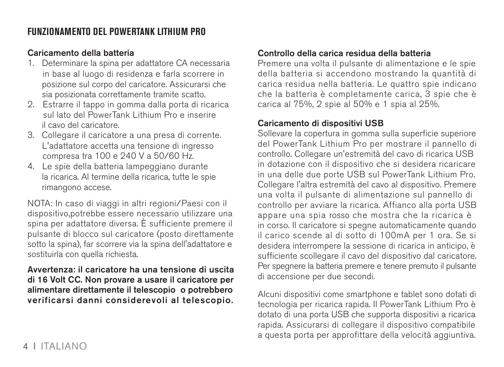## **FUNZIONAMENTO DEL POWERTANK LITHIUM PRO**

#### Caricamento della batteria

- 1. Determinare la spina per adattatore CA necessaria in base al luogo di residenza e farla scorrere in posizione sul corpo del caricatore. Assicurarsi che sia posizionata correttamente tramite scatto.
- 2. Estrarre il tappo in gomma dalla porta di ricarica sul lato del PowerTank Lithium Pro e inserire il cavo del caricatore.
- 3. Collegare il caricatore a una presa di corrente. L'adattatore accetta una tensione di ingresso compresa tra 100 e 240 V a 50/60 Hz.
- 4. Le spie della batteria lampeggiano durante la ricarica. Al termine della ricarica, tutte le spie rimangono accese.

NOTA: In caso di viaggi in altri regioni/Paesi con il dispositivo,potrebbe essere necessario utilizzare una spina per adattatore diversa. È sufficiente premere il pulsante di blocco sul caricatore (posto direttamente sotto la spina), far scorrere via la spina dell'adattatore e sostituirla con quella richiesta.

Avvertenza: il caricatore ha una tensione di uscita di 16 Volt CC. Non provare a usare il caricatore per alimentare direttamente il telescopio o potrebbero verificarsi danni considerevoli al telescopio.

#### Controllo della carica residua della batteria

Premere una volta il pulsante di alimentazione e le spie della batteria si accendono mostrando la quantità di carica residua nella batteria. Le quattro spie indicano che la batteria è completamente carica, 3 spie che è carica al 75%, 2 spie al 50% e 1 spia al 25%.

#### Caricamento di dispositivi USB

Sollevare la copertura in gomma sulla superficie superiore del PowerTank Lithium Pro per mostrare il pannello di controllo. Collegare un'estremità del cavo di ricarica USB in dotazione con il dispositivo che si desidera ricaricare in una delle due porte USB sul PowerTank Lithium Pro. Collegare l'altra estremità del cavo al dispositivo. Premere una volta il pulsante di alimentazione sul pannello di controllo per avviare la ricarica. Affianco alla porta USB appare una spia rosso che mostra che la ricarica è in corso. Il caricatore si spegne automaticamente quando il carico scende al di sotto di 100mA per 1 ora. Se si desidera interrompere la sessione di ricarica in anticipo, è sufficiente scollegare il cavo del dispositivo dal caricatore. Per spegnere la batteria premere e tenere premuto il pulsante di accensione per due secondi.

Alcuni dispositivi come smartphone e tablet sono dotati di tecnologia per ricarica rapida. Il PowerTank Lithium Pro è dotato di una porta USB che supporta dispositivi a ricarica rapida. Assicurarsi di collegare il dispositivo compatibile a questa porta per approfittare della velocità aggiuntiva.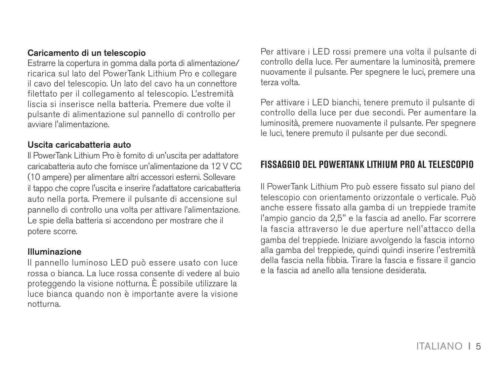#### Caricamento di un telescopio

Estrarre la copertura in gomma dalla porta di alimentazione/ ricarica sul lato del PowerTank Lithium Pro e collegare il cavo del telescopio. Un lato del cavo ha un connettore filettato per il collegamento al telescopio. L'estremità liscia si inserisce nella batteria. Premere due volte il pulsante di alimentazione sul pannello di controllo per avviare l'alimentazione.

#### Uscita caricabatteria auto

Il PowerTank Lithium Pro è fornito di un'uscita per adattatore caricabatteria auto che fornisce un'alimentazione da 12 V CC (10 ampere) per alimentare altri accessori esterni. Sollevare il tappo che copre l'uscita e inserire l'adattatore caricabatteria auto nella porta. Premere il pulsante di accensione sul pannello di controllo una volta per attivare l'alimentazione. Le spie della batteria si accendono per mostrare che il potere scorre.

#### Illuminazione

Il pannello luminoso LED può essere usato con luce rossa o bianca. La luce rossa consente di vedere al buio proteggendo la visione notturna. È possibile utilizzare la luce bianca quando non è importante avere la visione notturna.

Per attivare i LED rossi premere una volta il pulsante di controllo della luce. Per aumentare la luminosità, premere nuovamente il pulsante. Per spegnere le luci, premere una terza volta.

Per attivare i LED bianchi, tenere premuto il pulsante di controllo della luce per due secondi. Per aumentare la luminosità, premere nuovamente il pulsante. Per spegnere le luci, tenere premuto il pulsante per due secondi.

# **FISSAGGIO DEL POWERTANK LITHIUM PRO AL TELESCOPIO**

Il PowerTank Lithium Pro può essere fissato sul piano del telescopio con orientamento orizzontale o verticale. Può anche essere fissato alla gamba di un treppiede tramite l'ampio gancio da 2,5" e la fascia ad anello. Far scorrere la fascia attraverso le due aperture nell'attacco della gamba del treppiede. Iniziare avvolgendo la fascia intorno alla gamba del treppiede, quindi quindi inserire l'estremità della fascia nella fibbia. Tirare la fascia e fissare il gancio e la fascia ad anello alla tensione desiderata.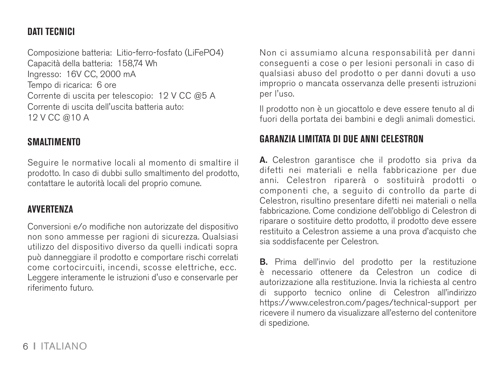## **DATI TECNICI**

Composizione batteria: Litio-ferro-fosfato (LiFePO4) Capacità della batteria: 158,74 Wh Ingresso: 16V CC, 2000 mA Tempo di ricarica: 6 ore Corrente di uscita per telescopio: 12 V CC @5 A Corrente di uscita dell'uscita batteria auto: 12 V CC @10 A

#### **SMALTIMENTO**

Seguire le normative locali al momento di smaltire il prodotto. In caso di dubbi sullo smaltimento del prodotto, contattare le autorità locali del proprio comune.

#### **AVVERTENZA**

Conversioni e/o modifiche non autorizzate del dispositivo non sono ammesse per ragioni di sicurezza. Qualsiasi utilizzo del dispositivo diverso da quelli indicati sopra può danneggiare il prodotto e comportare rischi correlati come cortocircuiti, incendi, scosse elettriche, ecc. Leggere interamente le istruzioni d'uso e conservarle per riferimento futuro.

Non ci assumiamo alcuna responsabilità per danni conseguenti a cose o per lesioni personali in caso di qualsiasi abuso del prodotto o per danni dovuti a uso improprio o mancata osservanza delle presenti istruzioni per l'uso.

Il prodotto non è un giocattolo e deve essere tenuto al di fuori della portata dei bambini e degli animali domestici.

# **GARANZIA LIMITATA DI DUE ANNI CELESTRON**

A. Celestron garantisce che il prodotto sia priva da difetti nei materiali e nella fabbricazione per due anni. Celestron riparerà o sostituirà prodotti o componenti che, a seguito di controllo da parte di Celestron, risultino presentare difetti nei materiali o nella fabbricazione. Come condizione dell'obbligo di Celestron di riparare o sostituire detto prodotto, il prodotto deve essere restituito a Celestron assieme a una prova d'acquisto che sia soddisfacente per Celestron.

B. Prima dell'invio del prodotto per la restituzione è necessario ottenere da Celestron un codice di autorizzazione alla restituzione. Invia la richiesta al centro di supporto tecnico online di Celestron all'indirizzo https://www.celestron.com/pages/technical-support per ricevere il numero da visualizzare all'esterno del contenitore di spedizione.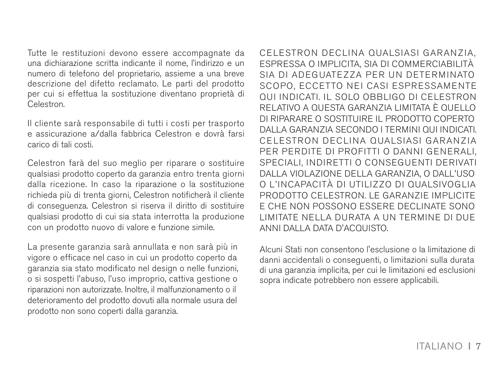Tutte le restituzioni devono essere accompagnate da una dichiarazione scritta indicante il nome, l'indirizzo e un numero di telefono del proprietario, assieme a una breve descrizione del difetto reclamato. Le parti del prodotto per cui si effettua la sostituzione diventano proprietà di Celestron.

Il cliente sarà responsabile di tutti i costi per trasporto e assicurazione a/dalla fabbrica Celestron e dovrà farsi carico di tali costi.

Celestron farà del suo meglio per riparare o sostituire qualsiasi prodotto coperto da garanzia entro trenta giorni dalla ricezione. In caso la riparazione o la sostituzione richieda più di trenta giorni, Celestron notificherà il cliente di conseguenza. Celestron si riserva il diritto di sostituire qualsiasi prodotto di cui sia stata interrotta la produzione con un prodotto nuovo di valore e funzione simile.

La presente garanzia sarà annullata e non sarà più in vigore o efficace nel caso in cui un prodotto coperto da garanzia sia stato modificato nel design o nelle funzioni, o si sospetti l'abuso, l'uso improprio, cattiva gestione o riparazioni non autorizzate. Inoltre, il malfunzionamento o il deterioramento del prodotto dovuti alla normale usura del prodotto non sono coperti dalla garanzia.

CELESTRON DECLINA QUALSIASI GARANZIA, ESPRESSA O IMPLICITA, SIA DI COMMERCIABILITÀ SIA DI ADEGUATEZZA PER UN DETERMINATO SCOPO, ECCETTO NEI CASI ESPRESSAMENTE QUI INDICATI. IL SOLO OBBLIGO DI CELESTRON RELATIVO A QUESTA GARANZIA LIMITATA È QUELLO DI RIPARARE O SOSTITUIRE IL PRODOTTO COPERTO DALLA GARANZIA SECONDO I TERMINI QUI INDICATI. CELESTRON DECLINA OUALSIASI GARANZIA PER PERDITE DI PROFITTI O DANNI GENERALI, SPECIALI, INDIRETTI O CONSEGUENTI DERIVATI DALLA VIOLAZIONE DELLA GARANZIA, O DALL'USO O L'INCAPACITÀ DI UTILIZZO DI QUALSIVOGLIA PRODOTTO CELESTRON. LE GARANZIE IMPLICITE E CHE NON POSSONO ESSERE DECLINATE SONO LIMITATE NELLA DURATA A UN TERMINE DI DUE ANNI DALLA DATA D'ACQUISTO.

Alcuni Stati non consentono l'esclusione o la limitazione di danni accidentali o conseguenti, o limitazioni sulla durata di una garanzia implicita, per cui le limitazioni ed esclusioni sopra indicate potrebbero non essere applicabili.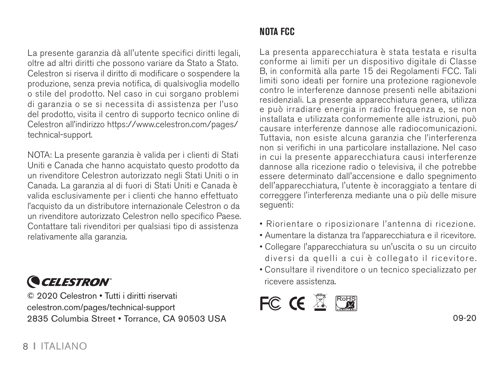La presente garanzia dà all'utente specifici diritti legali, oltre ad altri diritti che possono variare da Stato a Stato. Celestron si riserva il diritto di modificare o sospendere la produzione, senza previa notifica, di qualsivoglia modello o stile del prodotto. Nel caso in cui sorgano problemi di garanzia o se si necessita di assistenza per l'uso del prodotto, visita il centro di supporto tecnico online di Celestron all'indirizzo https://www.celestron.com/pages/ technical-support.

NOTA: La presente garanzia è valida per i clienti di Stati Uniti e Canada che hanno acquistato questo prodotto da un rivenditore Celestron autorizzato negli Stati Uniti o in Canada. La garanzia al di fuori di Stati Uniti e Canada è valida esclusivamente per i clienti che hanno effettuato l'acquisto da un distributore internazionale Celestron o da un rivenditore autorizzato Celestron nello specifico Paese. Contattare tali rivenditori per qualsiasi tipo di assistenza relativamente alla garanzia.



© 2020 Celestron • Tutti i diritti riservati celestron.com/pages/technical-support 2835 Columbia Street • Torrance, CA 90503 USA 09-20

# **NOTA FCC**

La presenta apparecchiatura è stata testata e risulta conforme ai limiti per un dispositivo digitale di Classe B, in conformità alla parte 15 dei Regolamenti FCC. Tali limiti sono ideati per fornire una protezione ragionevole contro le interferenze dannose presenti nelle abitazioni residenziali. La presente apparecchiatura genera, utilizza e può irradiare energia in radio frequenza e, se non installata e utilizzata conformemente alle istruzioni, può causare interferenze dannose alle radiocomunicazioni. Tuttavia, non esiste alcuna garanzia che l'interferenza non si verifichi in una particolare installazione. Nel caso in cui la presente apparecchiatura causi interferenze dannose alla ricezione radio o televisiva, il che potrebbe essere determinato dall'accensione e dallo spegnimento dell'apparecchiatura, l'utente è incoraggiato a tentare di correggere l'interferenza mediante una o più delle misure sequenti:

- Riorientare o riposizionare l'antenna di ricezione.
- Aumentare la distanza tra l'apparecchiatura e il ricevitore.
- Collegare l'apparecchiatura su un'uscita o su un circuito diversi da quelli a cui è collegato il ricevitore.
- Consultare il rivenditore o un tecnico specializzato per ricevere assistenza.

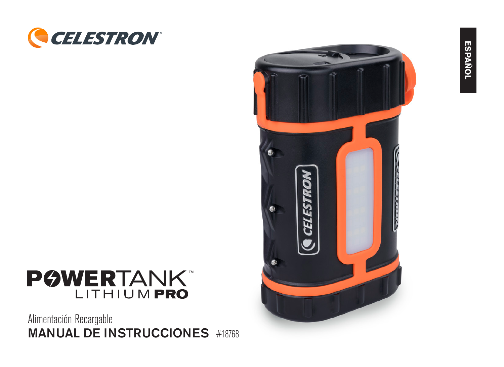



# **POWERTANK** LITHIUM PRO

Alimentación Recargable MANUAL DE INSTRUCCIONES #18768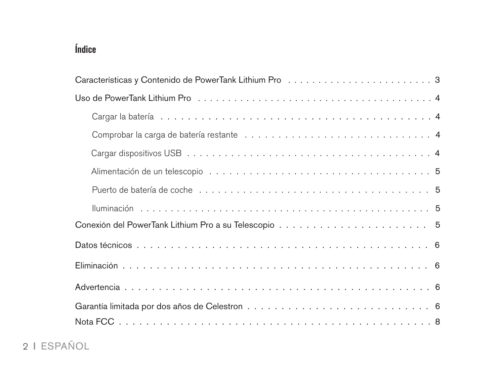# **Índice**

| Puerto de batería de coche e alguna a constante de contra a constante de parte de parte de parte de la parte d |
|----------------------------------------------------------------------------------------------------------------|
|                                                                                                                |
|                                                                                                                |
|                                                                                                                |
|                                                                                                                |
|                                                                                                                |
|                                                                                                                |
|                                                                                                                |

# 2 I ESPAÑOL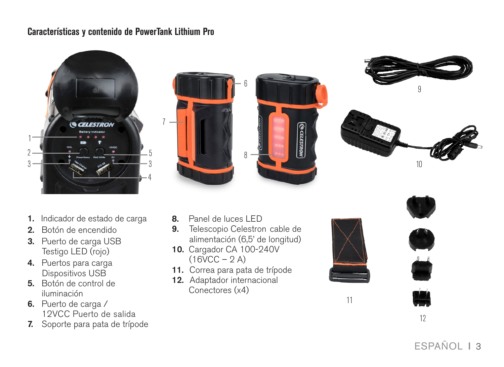#### **Características y contenido de PowerTank Lithium Pro**









- 1. Indicador de estado de carga
- 2. Botón de encendido
- 3. Puerto de carga USB Testigo LED (rojo)
- 4. Puertos para carga Dispositivos USB
- 5. Botón de control de iluminación
- 6. Puerto de carga / 12VCC Puerto de salida
- 7. Soporte para pata de trípode
- 8. Panel de luces LED
- 9. Telescopio Celestron cable de alimentación (6,5' de longitud)
- 10. Cargador CA 100-240V  $(16VCC - 2 A)$
- 11. Correa para pata de trípode
- 12. Adaptador internacional Conectores (x4)





12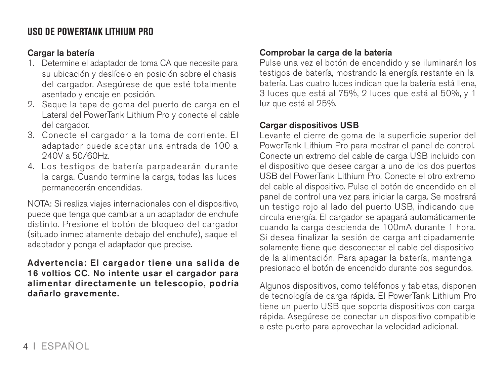# **USO DE POWERTANK LITHIUM PRO**

#### Cargar la batería

- 1. Determine el adaptador de toma CA que necesite para su ubicación y deslícelo en posición sobre el chasis del cargador. Asegúrese de que esté totalmente asentado y encaje en posición.
- 2. Saque la tapa de goma del puerto de carga en el Lateral del PowerTank Lithium Pro y conecte el cable del cargador.
- 3. Conecte el cargador a la toma de corriente. El adaptador puede aceptar una entrada de 100 a 240V a 50/60Hz.
- 4. Los testigos de batería parpadearán durante la carga. Cuando termine la carga, todas las luces permanecerán encendidas.

NOTA: Si realiza viajes internacionales con el dispositivo, puede que tenga que cambiar a un adaptador de enchufe distinto. Presione el botón de bloqueo del cargador (situado inmediatamente debajo del enchufe), saque el adaptador y ponga el adaptador que precise.

#### Advertencia: El cargador tiene una salida de 16 voltios CC. No intente usar el cargador para alimentar directamente un telescopio, podría dañarlo gravemente.

#### Comprobar la carga de la batería

Pulse una vez el botón de encendido y se iluminarán los testigos de batería, mostrando la energía restante en la batería. Las cuatro luces indican que la batería está llena, 3 luces que está al 75%, 2 luces que está al 50%, y 1 luz que está al 25%.

#### Cargar dispositivos USB

Levante el cierre de goma de la superficie superior del PowerTank Lithium Pro para mostrar el panel de control. Conecte un extremo del cable de carga USB incluido con el dispositivo que desee cargar a uno de los dos puertos USB del PowerTank Lithium Pro. Conecte el otro extremo del cable al dispositivo. Pulse el botón de encendido en el panel de control una vez para iniciar la carga. Se mostrará un testigo rojo al lado del puerto USB, indicando que circula energía. El cargador se apagará automáticamente cuando la carga descienda de 100mA durante 1 hora. Si desea finalizar la sesión de carga anticipadamente solamente tiene que desconectar el cable del dispositivo de la alimentación. Para apagar la batería, mantenga presionado el botón de encendido durante dos segundos.

Algunos dispositivos, como teléfonos y tabletas, disponen de tecnología de carga rápida. El PowerTank Lithium Pro tiene un puerto USB que soporta dispositivos con carga rápida. Asegúrese de conectar un dispositivo compatible a este puerto para aprovechar la velocidad adicional.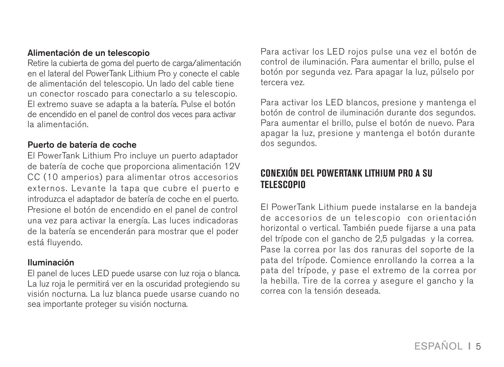#### Alimentación de un telescopio

Retire la cubierta de goma del puerto de carga/alimentación en el lateral del PowerTank Lithium Pro y conecte el cable de alimentación del telescopio. Un lado del cable tiene un conector roscado para conectarlo a su telescopio. El extremo suave se adapta a la batería. Pulse el botón de encendido en el panel de control dos veces para activar la alimentación.

#### Puerto de batería de coche

El PowerTank Lithium Pro incluye un puerto adaptador de batería de coche que proporciona alimentación 12V CC (10 amperios) para alimentar otros accesorios externos. Levante la tapa que cubre el puerto e introduzca el adaptador de batería de coche en el puerto. Presione el botón de encendido en el panel de control una vez para activar la energía. Las luces indicadoras de la batería se encenderán para mostrar que el poder está fluyendo.

#### Iluminación

El panel de luces LED puede usarse con luz roja o blanca. La luz roja le permitirá ver en la oscuridad protegiendo su visión nocturna. La luz blanca puede usarse cuando no sea importante proteger su visión nocturna.

Para activar los LED rojos pulse una vez el botón de control de iluminación. Para aumentar el brillo, pulse el botón por segunda vez. Para apagar la luz, púlselo por tercera vez.

Para activar los LED blancos, presione y mantenga el botón de control de iluminación durante dos segundos. Para aumentar el brillo, pulse el botón de nuevo. Para apagar la luz, presione y mantenga el botón durante dos segundos.

# **CONEXIÓN DEL POWERTANK LITHIUM PRO A SU TELESCOPIO**

El PowerTank Lithium puede instalarse en la bandeja de accesorios de un telescopio con orientación horizontal o vertical. También puede fijarse a una pata del trípode con el gancho de 2,5 pulgadas y la correa. Pase la correa por las dos ranuras del soporte de la pata del trípode. Comience enrollando la correa a la pata del trípode, y pase el extremo de la correa por la hebilla. Tire de la correa y asegure el gancho y la correa con la tensión deseada.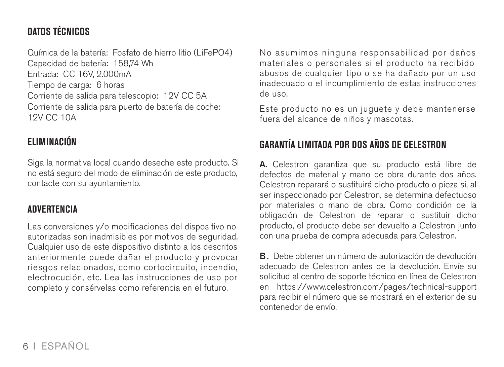# **DATOS TÉCNICOS**

Química de la batería: Fosfato de hierro litio (LiFePO4) Capacidad de batería: 158,74 Wh Entrada: CC 16V, 2.000mA Tiempo de carga: 6 horas Corriente de salida para telescopio: 12V CC 5A Corriente de salida para puerto de batería de coche: 12V CC 10A

# **ELIMINACIÓN**

Siga la normativa local cuando deseche este producto. Si no está seguro del modo de eliminación de este producto, contacte con su ayuntamiento.

#### **ADVERTENCIA**

Las conversiones y/o modificaciones del dispositivo no autorizadas son inadmisibles por motivos de seguridad. Cualquier uso de este dispositivo distinto a los descritos anteriormente puede dañar el producto y provocar riesgos relacionados, como cortocircuito, incendio, electrocución, etc. Lea las instrucciones de uso por completo y consérvelas como referencia en el futuro.

No asumimos ninguna responsabilidad por daños materiales o personales si el producto ha recibido abusos de cualquier tipo o se ha dañado por un uso inadecuado o el incumplimiento de estas instrucciones de uso.

Este producto no es un juguete y debe mantenerse fuera del alcance de niños y mascotas.

# **GARANTÍA LIMITADA POR DOS AÑOS DE CELESTRON**

A. Celestron garantiza que su producto está libre de defectos de material y mano de obra durante dos años. Celestron reparará o sustituirá dicho producto o pieza si, al ser inspeccionado por Celestron, se determina defectuoso por materiales o mano de obra. Como condición de la obligación de Celestron de reparar o sustituir dicho producto, el producto debe ser devuelto a Celestron junto con una prueba de compra adecuada para Celestron.

B. Debe obtener un número de autorización de devolución adecuado de Celestron antes de la devolución. Envíe su solicitud al centro de soporte técnico en línea de Celestron en https://www.celestron.com/pages/technical-support para recibir el número que se mostrará en el exterior de su contenedor de envío.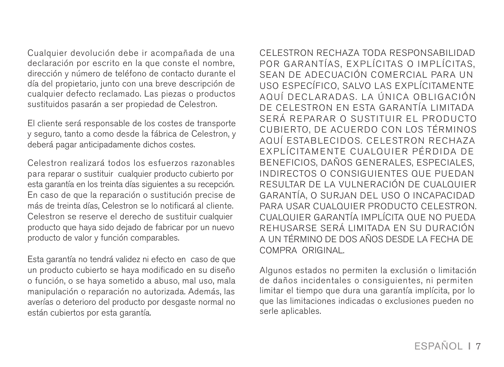Cualquier devolución debe ir acompañada de una declaración por escrito en la que conste el nombre, dirección y número de teléfono de contacto durante el día del propietario, junto con una breve descripción de cualquier defecto reclamado. Las piezas o productos sustituidos pasarán a ser propiedad de Celestron.

El cliente será responsable de los costes de transporte y seguro, tanto a como desde la fábrica de Celestron, y deberá pagar anticipadamente dichos costes.

Celestron realizará todos los esfuerzos razonables para reparar o sustituir cualquier producto cubierto por esta garantía en los treinta días siguientes a su recepción. En caso de que la reparación o sustitución precise de más de treinta días, Celestron se lo notificará al cliente. Celestron se reserve el derecho de sustituir cualquier producto que haya sido dejado de fabricar por un nuevo producto de valor y función comparables.

Esta garantía no tendrá validez ni efecto en caso de que un producto cubierto se haya modificado en su diseño o función, o se haya sometido a abuso, mal uso, mala manipulación o reparación no autorizada. Además, las averías o deterioro del producto por desgaste normal no están cubiertos por esta garantía.

CELESTRON RECHAZA TODA RESPONSABILIDAD POR GARANTÍAS, EXPLÍCITAS O IMPLÍCITAS, SEAN DE ADECUACIÓN COMERCIAL PARA UN USO ESPECÍFICO, SALVO LAS EXPLÍCITAMENTE AQUÍ DECLARADAS. LA ÚNICA OBLIGACIÓN DE CELESTRON EN ESTA GARANTÍA LIMITADA SERÁ REPARAR O SUSTITUIR EL PRODUCTO CUBIERTO, DE ACUERDO CON LOS TÉRMINOS AQUÍ ESTABLECIDOS, CELESTRON RECHAZA EXPLÍCITAMENTE CUALQUIER PÉRDIDA DE BENEFICIOS, DAÑOS GENERALES, ESPECIALES, INDIRECTOS O CONSIGUIENTES QUE PUEDAN RESULTAR DE LA VULNERACIÓN DE CUALQUIER GARANTÍA, O SURJAN DEL USO O INCAPACIDAD PARA USAR CUALQUIER PRODUCTO CELESTRON. CUALQUIER GARANTÍA IMPLÍCITA QUE NO PUEDA REHUSARSE SERÁ LIMITADA EN SU DURACIÓN A UN TÉRMINO DE DOS AÑOS DESDE LA FECHA DE COMPRA ORIGINAL.

Algunos estados no permiten la exclusión o limitación de daños incidentales o consiguientes, ni permiten limitar el tiempo que dura una garantía implícita, por lo que las limitaciones indicadas o exclusiones pueden no serle aplicables.